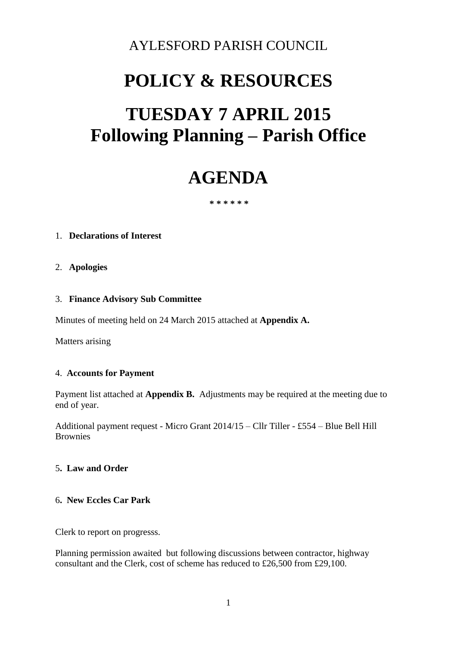# AYLESFORD PARISH COUNCIL

# **POLICY & RESOURCES**

# **TUESDAY 7 APRIL 2015 Following Planning – Parish Office**

# **AGENDA**

 **\* \* \* \* \* \*** 

#### 1. **Declarations of Interest**

#### 2. **Apologies**

#### 3. **Finance Advisory Sub Committee**

Minutes of meeting held on 24 March 2015 attached at **Appendix A.** 

Matters arising

#### 4. **Accounts for Payment**

Payment list attached at **Appendix B.** Adjustments may be required at the meeting due to end of year.

Additional payment request - Micro Grant 2014/15 – Cllr Tiller - £554 – Blue Bell Hill Brownies

#### 5**. Law and Order**

#### 6**. New Eccles Car Park**

Clerk to report on progresss.

Planning permission awaited but following discussions between contractor, highway consultant and the Clerk, cost of scheme has reduced to £26,500 from £29,100.